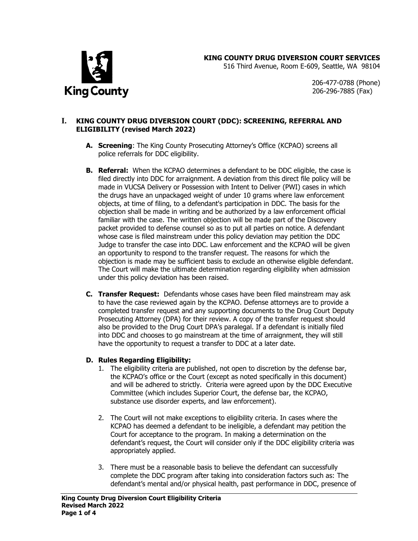



516 Third Avenue, Room E-609, Seattle, WA 98104

206-477-0788 (Phone) 206-296-7885 (Fax)

#### **I. KING COUNTY DRUG DIVERSION COURT (DDC): SCREENING, REFERRAL AND ELIGIBILITY (revised March 2022)**

- **A. Screening**: The King County Prosecuting Attorney's Office (KCPAO) screens all police referrals for DDC eligibility.
- **B. Referral:** When the KCPAO determines a defendant to be DDC eligible, the case is filed directly into DDC for arraignment. A deviation from this direct file policy will be made in VUCSA Delivery or Possession with Intent to Deliver (PWI) cases in which the drugs have an unpackaged weight of under 10 grams where law enforcement objects, at time of filing, to a defendant's participation in DDC. The basis for the objection shall be made in writing and be authorized by a law enforcement official familiar with the case. The written objection will be made part of the Discovery packet provided to defense counsel so as to put all parties on notice. A defendant whose case is filed mainstream under this policy deviation may petition the DDC Judge to transfer the case into DDC. Law enforcement and the KCPAO will be given an opportunity to respond to the transfer request. The reasons for which the objection is made may be sufficient basis to exclude an otherwise eligible defendant. The Court will make the ultimate determination regarding eligibility when admission under this policy deviation has been raised.
- **C. Transfer Request:** Defendants whose cases have been filed mainstream may ask to have the case reviewed again by the KCPAO. Defense attorneys are to provide a completed transfer request and any supporting documents to the Drug Court Deputy Prosecuting Attorney (DPA) for their review. A copy of the transfer request should also be provided to the Drug Court DPA's paralegal. If a defendant is initially filed into DDC and chooses to go mainstream at the time of arraignment, they will still have the opportunity to request a transfer to DDC at a later date.

#### **D. Rules Regarding Eligibility:**

- 1. The eligibility criteria are published, not open to discretion by the defense bar, the KCPAO's office or the Court (except as noted specifically in this document) and will be adhered to strictly. Criteria were agreed upon by the DDC Executive Committee (which includes Superior Court, the defense bar, the KCPAO, substance use disorder experts, and law enforcement).
- 2. The Court will not make exceptions to eligibility criteria. In cases where the KCPAO has deemed a defendant to be ineligible, a defendant may petition the Court for acceptance to the program. In making a determination on the defendant's request, the Court will consider only if the DDC eligibility criteria was appropriately applied.
- 3. There must be a reasonable basis to believe the defendant can successfully complete the DDC program after taking into consideration factors such as: The defendant's mental and/or physical health, past performance in DDC, presence of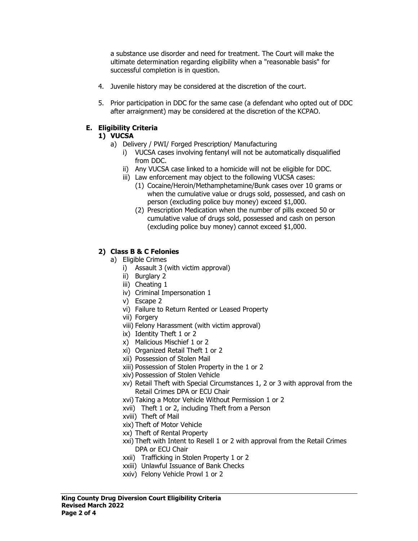a substance use disorder and need for treatment. The Court will make the ultimate determination regarding eligibility when a "reasonable basis" for successful completion is in question.

- 4. Juvenile history may be considered at the discretion of the court.
- 5. Prior participation in DDC for the same case (a defendant who opted out of DDC after arraignment) may be considered at the discretion of the KCPAO.

## **E. Eligibility Criteria**

## **1) VUCSA**

- a) Delivery / PWI/ Forged Prescription/ Manufacturing
	- i) VUCSA cases involving fentanyl will not be automatically disqualified from DDC.
	- ii) Any VUCSA case linked to a homicide will not be eligible for DDC.
	- iii) Law enforcement may object to the following VUCSA cases:
		- (1) Cocaine/Heroin/Methamphetamine/Bunk cases over 10 grams or when the cumulative value or drugs sold, possessed, and cash on person (excluding police buy money) exceed \$1,000.
		- (2) Prescription Medication when the number of pills exceed 50 or cumulative value of drugs sold, possessed and cash on person (excluding police buy money) cannot exceed \$1,000.

# **2) Class B & C Felonies**

- a) Eligible Crimes
	- i) Assault 3 (with victim approval)
	- ii) Burglary 2
	- iii) Cheating 1
	- iv) Criminal Impersonation 1
	- v) Escape 2
	- vi) Failure to Return Rented or Leased Property
	- vii) Forgery
	- viii) Felony Harassment (with victim approval)
	- ix) Identity Theft 1 or 2
	- x) Malicious Mischief 1 or 2
	- xi) Organized Retail Theft 1 or 2
	- xii) Possession of Stolen Mail
	- xiii) Possession of Stolen Property in the 1 or 2
	- xiv) Possession of Stolen Vehicle
	- xv) Retail Theft with Special Circumstances 1, 2 or 3 with approval from the Retail Crimes DPA or ECU Chair
	- xvi) Taking a Motor Vehicle Without Permission 1 or 2
	- xvii) Theft 1 or 2, including Theft from a Person
	- xviii) Theft of Mail
	- xix) Theft of Motor Vehicle
	- xx) Theft of Rental Property
	- xxi) Theft with Intent to Resell 1 or 2 with approval from the Retail Crimes DPA or ECU Chair
	- xxii) Trafficking in Stolen Property 1 or 2
	- xxiii) Unlawful Issuance of Bank Checks
	- xxiv) Felony Vehicle Prowl 1 or 2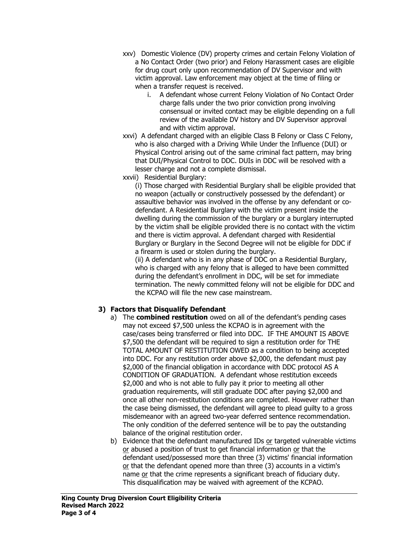- xxv) Domestic Violence (DV) property crimes and certain Felony Violation of a No Contact Order (two prior) and Felony Harassment cases are eligible for drug court only upon recommendation of DV Supervisor and with victim approval. Law enforcement may object at the time of filing or when a transfer request is received.
	- i. A defendant whose current Felony Violation of No Contact Order charge falls under the two prior conviction prong involving consensual or invited contact may be eligible depending on a full review of the available DV history and DV Supervisor approval and with victim approval.
- xxvi) A defendant charged with an eligible Class B Felony or Class C Felony, who is also charged with a Driving While Under the Influence (DUI) or Physical Control arising out of the same criminal fact pattern, may bring that DUI/Physical Control to DDC. DUIs in DDC will be resolved with a lesser charge and not a complete dismissal.
- xxvii) Residential Burglary:

(i) Those charged with Residential Burglary shall be eligible provided that no weapon (actually or constructively possessed by the defendant) or assaultive behavior was involved in the offense by any defendant or codefendant. A Residential Burglary with the victim present inside the dwelling during the commission of the burglary or a burglary interrupted by the victim shall be eligible provided there is no contact with the victim and there is victim approval. A defendant charged with Residential Burglary or Burglary in the Second Degree will not be eligible for DDC if a firearm is used or stolen during the burglary.

(ii) A defendant who is in any phase of DDC on a Residential Burglary, who is charged with any felony that is alleged to have been committed during the defendant's enrollment in DDC, will be set for immediate termination. The newly committed felony will not be eligible for DDC and the KCPAO will file the new case mainstream.

# **3) Factors that Disqualify Defendant**

- a) The **combined restitution** owed on all of the defendant's pending cases may not exceed \$7,500 unless the KCPAO is in agreement with the case/cases being transferred or filed into DDC. IF THE AMOUNT IS ABOVE \$7,500 the defendant will be required to sign a restitution order for THE TOTAL AMOUNT OF RESTITUTION OWED as a condition to being accepted into DDC. For any restitution order above \$2,000, the defendant must pay \$2,000 of the financial obligation in accordance with DDC protocol AS A CONDITION OF GRADUATION. A defendant whose restitution exceeds \$2,000 and who is not able to fully pay it prior to meeting all other graduation requirements, will still graduate DDC after paying \$2,000 and once all other non-restitution conditions are completed. However rather than the case being dismissed, the defendant will agree to plead guilty to a gross misdemeanor with an agreed two-year deferred sentence recommendation. The only condition of the deferred sentence will be to pay the outstanding balance of the original restitution order.
- b) Evidence that the defendant manufactured IDs or targeted vulnerable victims or abused a position of trust to get financial information or that the defendant used/possessed more than three (3) victims' financial information or that the defendant opened more than three (3) accounts in a victim's name or that the crime represents a significant breach of fiduciary duty. This disqualification may be waived with agreement of the KCPAO.